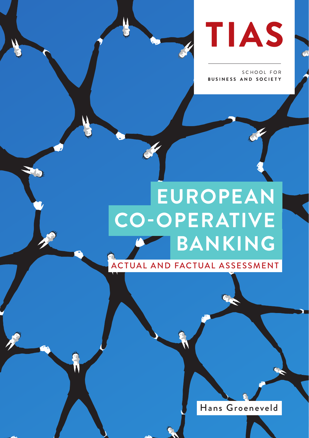

SCHOOL FOR **BUSINESS AND SOCIETY** 

# **EUROPEAN CO-OPERATIVE BANKING**  ACTUAL AND FACTUAL ASSESSMENT

V

Hans Groeneveld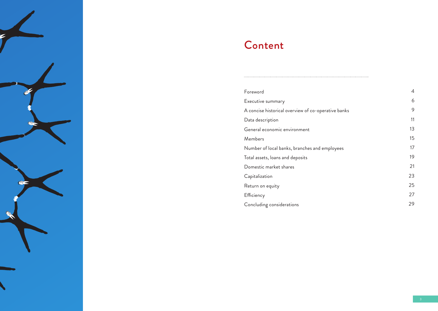

# Content

| Foreword                                            | 4  |
|-----------------------------------------------------|----|
| Executive summary                                   | 6  |
| A concise historical overview of co-operative banks | 9  |
| Data description                                    | 11 |
| General economic environment                        | 13 |
| Members                                             | 15 |
| Number of local banks, branches and employees       | 17 |
| Total assets, loans and deposits                    | 19 |
| Domestic market shares                              | 21 |
| Capitalization                                      | 23 |
| Return on equity                                    | 25 |
| Efficiency                                          | 27 |
| Concluding considerations                           | 29 |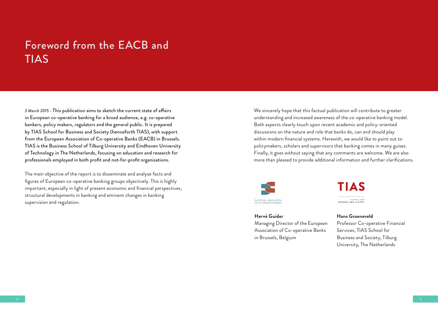## Foreword from the EACB and TIAS

*3 March 2015* - This publication aims to sketch the current state of affairs in European co-operative banking for a broad audience, e.g. co-operative bankers, policy makers, regulators and the general public. It is prepared by TIAS School for Business and Society (henceforth TIAS), with support from the European Association of Co-operative Banks (EACB) in Brussels. TIAS is the Business School of Tilburg University and Eindhoven University of Technology in The Netherlands, focusing on education and research for professionals employed in both profit and not-for-profit organisations.

The main objective of the report is to disseminate and analyse facts and figures of European co-operative banking groups objectively. This is highly important, especially in light of present economic and financial perspectives, structural developments in banking and eminent changes in banking supervision and regulation.

We sincerely hope that this factual publication will contribute to greater understanding and increased awareness of the co-operative banking model. Both aspects clearly touch upon recent academic and policy-oriented discussions on the nature and role that banks do, can and should play within modern financial systems. Herewith, we would like to point out to policymakers, scholars and supervisors that banking comes in many guises. Finally, it goes without saying that any comments are welcome. We are also more than pleased to provide additional information and further clarifications.



**Hervé Guider** Managing Director of the European Association of Co-operative Banks in Brussels, Belgium

TIAS **COUNDLINE BUSINESS AND SOCIE** 

#### **Hans Groeneveld** Professor Co-operative Financial Services, TIAS School for Business and Society, Tilburg University, The Netherlands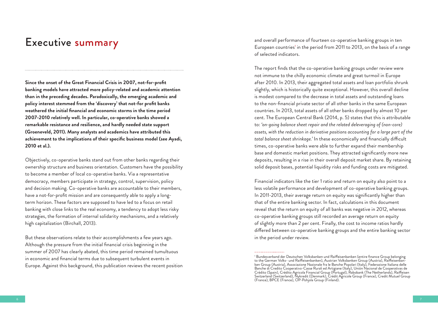### Executive summary

**Since the onset of the Great Financial Crisis in 2007, not-for-profit banking models have attracted more policy-related and academic attention than in the preceding decades. Paradoxically, the emerging academic and policy interest stemmed from the 'discovery' that not-for profit banks weathered the initial financial and economic storms in the time period 2007-2010 relatively well. In particular, co-operative banks showed a remarkable resistance and resilience, and hardly needed state support (Groeneveld, 2011). Many analysts and academics have attributed this achievement to the implications of their specific business model (see Ayadi, 2010 et al.).** 

Objectively, co-operative banks stand out from other banks regarding their ownership structure and business orientation. Customers have the possibility to become a member of local co-operative banks. Via a representative democracy, members participate in strategy, control, supervision, policy and decision making. Co-operative banks are accountable to their members, have a not-for-profit mission and are consequently able to apply a longterm horizon. These factors are supposed to have led to a focus on retail banking with close links to the real economy, a tendency to adopt less risky strategies, the formation of internal solidarity mechanisms, and a relatively high capitalization (Birchall, 2013).

But these observations relate to their accomplishments a few years ago. Although the pressure from the initial financial crisis beginning in the summer of 2007 has clearly abated, this time period remained tumultuous in economic and financial terms due to subsequent turbulent events in Europe. Against this background, this publication reviews the recent position and overall performance of fourteen co-operative banking groups in ten European countries<sup>1</sup> in the period from 2011 to 2013, on the basis of a range of selected indicators.

The report finds that the co-operative banking groups under review were not immune to the chilly economic climate and great turmoil in Europe after 2010. In 2013, their aggregated total assets and loan portfolio shrunk slightly, which is historically quite exceptional. However, this overall decline is modest compared to the decrease in total assets and outstanding loans to the non-financial private sector of all other banks in the same European countries. In 2013, total assets of all other banks dropped by almost 10 per cent. The European Central Bank (2014, p. 5) states that this is attributable to: *'on-going balance sheet repair and the related deleveraging of (non-core) assets, with the reduction in derivative positions accounting for a large part of the total balance sheet shrinkage.'* In these economically and financially difficult times, co-operative banks were able to further expand their membership base and domestic market positions. They attracted significantly more new deposits, resulting in a rise in their overall deposit market share. By retaining solid deposit bases, potential liquidity risks and funding costs are mitigated.

Financial indicators like the tier 1 ratio and return on equity also point to a less volatile performance and development of co-operative banking groups. In 2011-2013, their average return on equity was significantly higher than that of the entire banking sector. In fact, calculations in this document reveal that the return on equity of all banks was negative in 2012, whereas co-operative banking groups still recorded an average return on equity of slightly more than 2 per cent. Finally, the cost to income ratios hardly differed between co-operative banking groups and the entire banking sector in the period under review.

<sup>&</sup>lt;sup>1</sup> Bundesverband der Deutschen Volksbanken und Raiffeisenbanken (entire finance Group belonging<br>
to the German Volks- und Raiffeisenbanken), Austrian Volksbanken Group (Austria), Raiffeisenbanken<br>
ken Group (Austria), Ass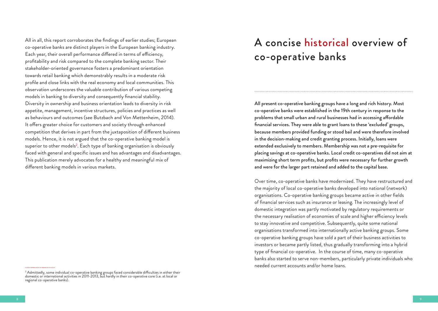All in all, this report corroborates the findings of earlier studies; European co-operative banks are distinct players in the European banking industry. Each year, their overall performance differed in terms of efficiency, profitability and risk compared to the complete banking sector. Their stakeholder-oriented governance fosters a predominant orientation towards retail banking which demonstrably results in a moderate risk profile and close links with the real economy and local communities. This observation underscores the valuable contribution of various competing models in banking to diversity and consequently financial stability. Diversity in ownership and business orientation leads to diversity in risk appetite, management, incentive structures, policies and practices as well as behaviours and outcomes (see Butzbach and Von Mettenheim, 2014). It offers greater choice for customers and society through enhanced competition that derives in part from the juxtaposition of different business models. Hence, it is not argued that the co-operative banking model is superior to other models<sup>2</sup>. Each type of banking organisation is obviously faced with general and specific issues and has advantages and disadvantages. This publication merely advocates for a healthy and meaningful mix of different banking models in various markets.

## A concise historical overview of co-operative banks

All present co-operative banking groups have a long and rich history. Most co-operative banks were established in the 19th century in response to the problems that small urban and rural businesses had in accessing affordable financial services. They were able to grant loans to these 'excluded' groups, because members provided funding or stood bail and were therefore involved in the decision-making and credit granting process. Initially, loans were extended exclusively to members. Membership was not a pre-requisite for placing savings at co-operative banks. Local credit co-operatives did not aim at maximizing short term profits, but profits were necessary for further growth and were for the larger part retained and added to the capital base.

Over time, co-operative banks have modernized. They have restructured and the majority of local co-operative banks developed into national (network) organisations. Co-operative banking groups became active in other fields of financial services such as insurance or leasing. The increasingly level of domestic integration was partly motivated by regulatory requirements or the necessary realisation of economies of scale and higher efficiency levels to stay innovative and competitive. Subsequently, quite some national organisations transformed into internationally active banking groups. Some co-operative banking groups have sold a part of their business activities to investors or became partly listed, thus gradually transforming into a hybrid type of financial co-operative. In the course of time, many co-operative banks also started to serve non-members, particularly private individuals who needed current accounts and/or home loans.

<sup>2</sup> Admittedly, some individual co-operative banking groups faced considerable difficulties in either their domestic or international activities in 2011-2013, but hardly in their co-operative core (i.e. at local or regional co-operative banks).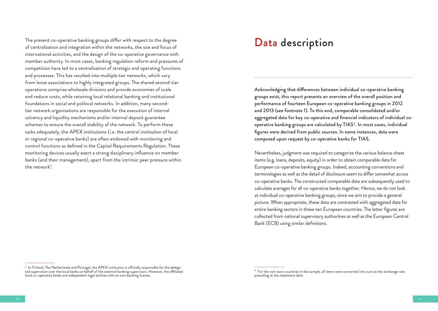The present co-operative banking groups differ with respect to the degree of centralization and integration within the networks, the size and focus of international activities, and the design of the co-operative governance with member authority. In most cases, banking regulation reform and pressures of competition have led to a centralisation of strategic and operating functions and processes. This has resulted into multiple tier networks, which vary from loose associations to highly integrated groups. The shared second-tier operations comprise wholesale divisions and provide economies of scale and reduce costs, while retaining local relational banking and institutional foundations in social and political networks. In addition, many secondtier network organisations are responsible for the execution of internal solvency and liquidity mechanisms and/or internal deposit guarantee schemes to ensure the overall stability of the network. To perform these tasks adequately, the APEX institutions (i.e. the central institution of local or regional co-operative banks) are often endowed with monitoring and control functions as defined in the Capital Requirements Regulation. These monitoring devices usually exert a strong disciplinary influence on member banks (and their management), apart from the intrinsic peer pressure within the network<sup>3</sup>.

### Data description

Acknowledging that differences between individual co-operative banking groups exist, this report presents an overview of the overall position and performance of fourteen European co-operative banking groups in 2012 and 2013 (see footnote 1). To this end, comparable consolidated and/or aggregated data for key co-operative and financial indicators of individual cooperative banking groups are calculated by TIAS4. In most cases, individual figures were derived from public sources. In some instances, data were composed upon request by co-operative banks for TIAS.

Nevertheless, judgment was required to categorize the various balance sheet items (e.g. loans, deposits, equity) in order to obtain comparable data for European co-operative banking groups. Indeed, accounting conventions and terminologies as well as the detail of disclosure seem to differ somewhat across co-operative banks. The constructed comparable data are subsequently used to calculate averages for all co-operative banks together. Hence, we do not look at individual co-operative banking groups, since we aim to provide a general picture. When appropriate, these data are contrasted with aggregated data for entire banking sectors in these ten European countries. The latter figures are collected from national supervisory authorities as well as the European Central Bank (ECB) using similar definitions.

 $^3\,$  In Finland, The Netherlands and Portugal, the APEX institution is officially responsible for the delega-<br>ted supervision over the local banks on behalf of the external banking supervisors. However, the affiliated local co-operative banks are independent legal entities with an own banking license.

<sup>4</sup> For the non-euro countries in the sample, all items were converted into euro at the exchange rate prevailing at the statement date.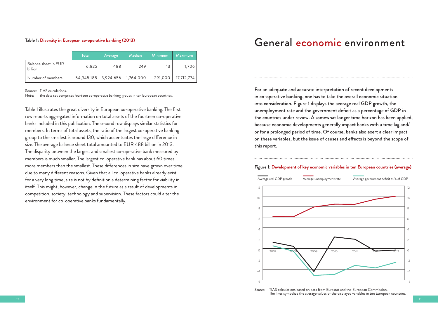#### **Table 1: Diversity in European co-operative banking (2013)**

|  |                                 | Total | Average | <b>Median</b>                      | Minimum | <b>Maximum</b> |
|--|---------------------------------|-------|---------|------------------------------------|---------|----------------|
|  | Balance sheet in EUR<br>billion | 6,825 | 488     | 249                                | 13      | 1.706          |
|  | Number of members               |       |         | 54,945,188   3,924,656   1,764,000 | 291,000 | 17,712,774     |

Source: TIAS calculations.

Note: the data set comprises fourteen co-operative banking groups in ten European countries.

Table 1 illustrates the great diversity in European co-operative banking. The first row reports aggregated information on total assets of the fourteen co-operative banks included in this publication. The second row displays similar statistics for members. In terms of total assets, the ratio of the largest co-operative banking group to the smallest is around 130, which accentuates the large difference in size. The average balance sheet total amounted to EUR 488 billion in 2013. The disparity between the largest and smallest co-operative bank measured by members is much smaller. The largest co-operative bank has about 60 times more members than the smallest. These differences in size have grown over time due to many different reasons. Given that all co-operative banks already exist for a very long time, size is not by definition a determining factor for viability in itself. This might, however, change in the future as a result of developments in competition, society, technology and supervision. These factors could alter the environment for co-operative banks fundamentally.

### General economic environment

For an adequate and accurate interpretation of recent developments in co-operative banking, one has to take the overall economic situation into consideration. Figure 1 displays the average real GDP growth, the unemployment rate and the government deficit as a percentage of GDP in the countries under review. A somewhat longer time horizon has been applied, because economic developments generally impact banks with a time lag and/ or for a prolonged period of time. Of course, banks also exert a clear impact on these variables, but the issue of causes and effects is beyond the scope of this report.

#### **Figure 1: Development of key economic variables in ten European countries (average)**



*Source:* TIAS calculations based on data from Eurostat and the European Commission. The lines symbolize the average values of the displayed variables in ten European countries.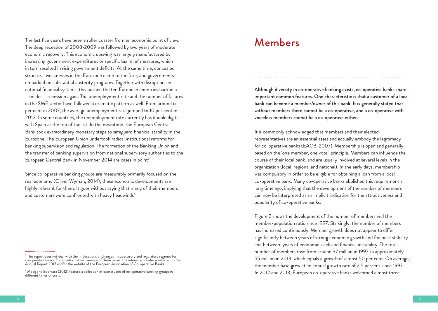The last five years have been a roller coaster from an economic point of view. The deep recession of 2008-2009 was followed by two years of moderate economic recovery. This economic upswing was largely manufactured by increasing government expenditures or specific tax relief measures, which in turn resulted in rising government deficits. At the same time, concealed structural weaknesses in the Eurozone came to the fore, and governments embarked on substantial austerity programs. Together with disruptions in national financial systems, this pushed the ten European countries back in a – milder – recession again. The unemployment rate and the number of failures in the SME sector have followed a dramatic pattern as well. From around 6 per cent in 2007, the average unemployment rate jumped to 10 per cent in 2013. In some countries, the unemployment rate currently has double digits, with Spain at the top of the list. In the meantime, the European Central Bank took extraordinary monetary steps to safeguard financial stability in the Eurozone. The European Union undertook radical institutional reforms for banking supervision and regulation. The formation of the Banking Union and the transfer of banking supervision from national supervisory authorities to the European Central Bank in November 2014 are cases in point<sup>5</sup>.

Since co-operative banking groups are measurably primarily focused on the real economy (Oliver Wyman, 2014), these economic developments are highly relevant for them. It goes without saying that many of their members and customers were confronted with heavy headwinds $^6$ .

### Members

Although diversity in co-operative banking exists, co-operative banks share important common features. One characteristic is that a customer of a local bank can become a member/owner of this bank. It is generally stated that without members there cannot be a co-operative, and a co-operative with voiceless members cannot be a co-operative either.

It is commonly acknowledged that members and their elected representatives are an essential asset and actually embody the legitimacy for co-operative banks (EACB, 2007). Membership is open and generally based on the 'one member, one vote'-principle. Members can influence the course of their local bank, and are usually involved at several levels in the organization (local, regional and national). In the early days, membership was compulsory in order to be eligible for obtaining a loan from a local co-operative bank. Many co-operative banks abolished this requirement a long time ago, implying that the development of the number of members can now be interpreted as an implicit indication for the attractiveness and popularity of co-operative banks.

Figure 2 shows the development of the number of members and the member-population ratio since 1997. Strikingly, the number of members has increased continuously. Member growth does not appear to differ significantly between years of strong economic growth and financial stability and between years of economic slack and financial instability. The total number of members rose from around 37 million in 1997 to approximately 55 million in 2013, which equals a growth of almost 50 per cent. On average, the member base grew at an annual growth rate of 2.5 percent since 1997. In 2012 and 2013, European co-operative banks welcomed almost three

 $^{\rm 5}$  This report does not deal with the implications of changes in supervisory and regulatory regimes for co-operative banks. For an informative overview of these issues, the interested reader is referred to the Annual Report 2013 and/or the website of the European Association of Co-operative Banks.

 $^{\rm 6}$  Mooij and Boonstra (2012) feature a collection of case studies of co-operative banking groups in different times of crisis.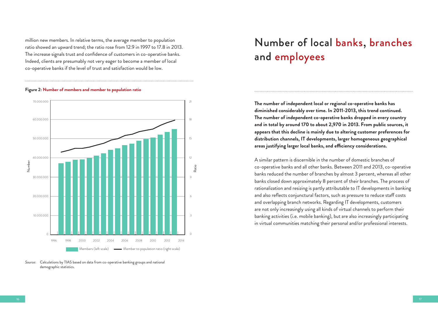million new members. In relative terms, the average member to population ratio showed an upward trend; the ratio rose from 12.9 in 1997 to 17.8 in 2013. The increase signals trust and confidence of customers in co-operative banks. Indeed, clients are presumably not very eager to become a member of local co-operative banks if the level of trust and satisfaction would be low.



#### **Figure 2: Number of members and member to population ratio**

*Source:* Calculations by TIAS based on data from co-operative banking groups and national demographic statistics.

## Number of local banks, branches and employees

**The number of independent local or regional co-operative banks has diminished considerably over time. In 2011-2013, this trend continued. The number of independent co-operative banks dropped in every country and in total by around 170 to about 2,970 in 2013. From public sources, it appears that this decline is mainly due to altering customer preferences for distribution channels, IT developments, larger homogeneous geographical areas justifying larger local banks, and efficiency considerations.** 

A similar pattern is discernible in the number of domestic branches of co-operative banks and all other banks. Between 2011 and 2013, co-operative banks reduced the number of branches by almost 3 percent, whereas all other banks closed down approximately 8 percent of their branches. The process of rationalization and resizing is partly attributable to IT developments in banking and also reflects conjunctural factors, such as pressure to reduce staff costs and overlapping branch networks. Regarding IT developments, customers are not only increasingly using all kinds of virtual channels to perform their banking activities (i.e. mobile banking), but are also increasingly participating in virtual communities matching their personal and/or professional interests.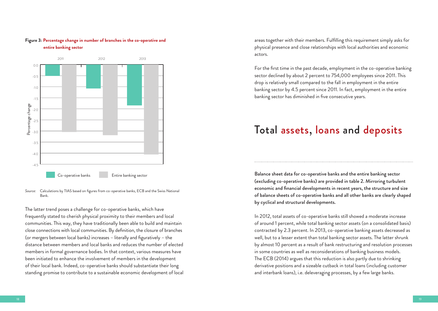

#### **Figure 3: Percentage change in number of branches in the co-operative and entire banking sector**

The latter trend poses a challenge for co-operative banks, which have frequently stated to cherish physical proximity to their members and local communities. This way, they have traditionally been able to build and maintain close connections with local communities. By definition, the closure of branches (or mergers between local banks) increases – literally and figuratively – the distance between members and local banks and reduces the number of elected members in formal governance bodies. In that context, various measures have been initiated to enhance the involvement of members in the development of their local bank. Indeed, co-operative banks should substantiate their long standing promise to contribute to a sustainable economic development of local areas together with their members. Fulfilling this requirement simply asks for physical presence and close relationships with local authorities and economic actors.

For the first time in the past decade, employment in the co-operative banking sector declined by about 2 percent to 754,000 employees since 2011. This drop is relatively small compared to the fall in employment in the entire banking sector by 4.5 percent since 2011. In fact, employment in the entire banking sector has diminished in five consecutive years.

### Total assets, loans and deposits

Balance sheet data for co-operative banks and the entire banking sector (excluding co-operative banks) are provided in table 2. Mirroring turbulent economic and financial developments in recent years, the structure and size of balance sheets of co-operative banks and all other banks are clearly shaped by cyclical and structural developments.

In 2012, total assets of co-operative banks still showed a moderate increase of around 1 percent, while total banking sector assets (on a consolidated basis) contracted by 2.3 percent. In 2013, co-operative banking assets decreased as well, but to a lesser extent than total banking sector assets. The latter shrunk by almost 10 percent as a result of bank restructuring and resolution processes in some countries as well as reconsiderations of banking business models. The ECB (2014) argues that this reduction is also partly due to shrinking derivative positions and a sizeable cutback in total loans (including customer and interbank loans), i.e. deleveraging processes, by a few large banks.

*Source:* Calculations by TIAS based on figures from co-operative banks, ECB and the Swiss National Bank.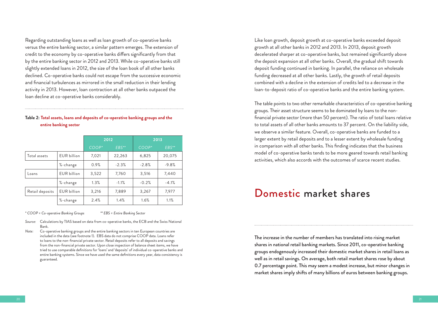Regarding outstanding loans as well as loan growth of co-operative banks versus the entire banking sector, a similar pattern emerges. The extension of credit to the economy by co-operative banks differs significantly from that by the entire banking sector in 2012 and 2013. While co-operative banks still slightly extended loans in 2012, the size of the loan book of all other banks declined. Co-operative banks could not escape from the successive economic and financial turbulences as mirrored in the small reduction in their lending activity in 2013. However, loan contraction at all other banks outpaced the loan decline at co-operative banks considerably.

#### **Table 2: Total assets, loans and deposits of co-operative banking groups and the entire banking sector**

|                 |                    | 2012    |         | 2013    |         |
|-----------------|--------------------|---------|---------|---------|---------|
|                 |                    | $COOP*$ | $EBS**$ | $COOP*$ | EBS**   |
| Total assets    | <b>EUR billion</b> | 7,021   | 22,263  | 6,825   | 20,075  |
|                 | %-change           | 0.9%    | $-2.3%$ | $-2.8%$ | $-9.8%$ |
| Loans           | <b>EUR</b> billion | 3,522   | 7,760   | 3,516   | 7,440   |
|                 | %-change           | 1.3%    | $-1.1%$ | $-0.2%$ | $-4.1%$ |
| Retail deposits | <b>EUR</b> billion | 3,216   | 7,889   | 3,267   | 7,977   |
|                 | %-change           | 2.4%    | 1.4%    | 1.6%    | 1.1%    |

*\* COOP = Co-operative Banking Groups \*\* EBS = Entire Banking Sector*

- *Source:* Calculations by TIAS based on data from co-operative banks, the ECB and the Swiss National Bank.
- *Note:* Co-operative banking groups and the entire banking sectors in ten European countries are included in the data (see footnote 1). EBS data do not comprise COOP data. Loans refer to loans to the non-financial private sector. Retail deposits refer to all deposits and savings from the non-financial private sector. Upon close inspection of balance sheet items, we have tried to use comparable definitions for 'loans' and 'deposits' of individual co-operative banks and entire banking systems. Since we have used the same definitions every year, data consistency is guaranteed.

Like loan growth, deposit growth at co-operative banks exceeded deposit growth at all other banks in 2012 and 2013. In 2013, deposit growth decelerated sharper at co-operative banks, but remained significantly above the deposit expansion at all other banks. Overall, the gradual shift towards deposit funding continued in banking. In parallel, the reliance on wholesale funding decreased at all other banks. Lastly, the growth of retail deposits combined with a decline in the extension of credits led to a decrease in the loan-to-deposit ratio of co-operative banks and the entire banking system.

The table points to two other remarkable characteristics of co-operative banking groups. Their asset structure seems to be dominated by loans to the nonfinancial private sector (more than 50 percent). The ratio of total loans relative to total assets of all other banks amounts to 37 percent. On the liability side, we observe a similar feature. Overall, co-operative banks are funded to a larger extent by retail deposits and to a lesser extent by wholesale funding in comparison with all other banks. This finding indicates that the business model of co-operative banks tends to be more geared towards retail banking activities, which also accords with the outcomes of scarce recent studies.

### Domestic market shares

The increase in the number of members has translated into rising market shares in national retail banking markets. Since 2011, co-operative banking groups endogenously increased their domestic market shares in retail loans as well as in retail savings. On average, both retail market shares rose by about 0.7 percentage point. This may seem a modest increase, but minor changes in market shares imply shifts of many billions of euros between banking groups.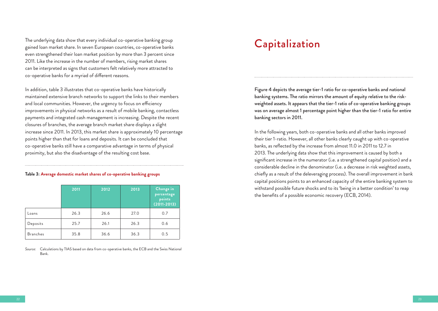The underlying data show that every individual co-operative banking group gained loan market share. In seven European countries, co-operative banks even strengthened their loan market position by more than 3 percent since 2011. Like the increase in the number of members, rising market shares can be interpreted as signs that customers felt relatively more attracted to co-operative banks for a myriad of different reasons.

In addition, table 3 illustrates that co-operative banks have historically maintained extensive branch networks to support the links to their members and local communities. However, the urgency to focus on efficiency improvements in physical networks as a result of mobile banking, contactless payments and integrated cash management is increasing. Despite the recent closures of branches, the average branch market share displays a slight increase since 2011. In 2013, this market share is approximately 10 percentage points higher than that for loans and deposits. It can be concluded that co-operative banks still have a comparative advantage in terms of physical proximity, but also the disadvantage of the resulting cost base.

#### **Table 3: Average domestic market shares of co-operative banking groups**

|                 | 2011 | 2012 | 2013 | Change in<br>percentage<br>points<br>$(2011 - 2013)$ |
|-----------------|------|------|------|------------------------------------------------------|
| Loans           | 26.3 | 26.6 | 27.0 | 0.7                                                  |
| Deposits        | 25.7 | 26.1 | 26.3 | 0.6                                                  |
| <b>Branches</b> | 35.8 | 36.6 | 36.3 | 0.5                                                  |

*Source:* Calculations by TIAS based on data from co-operative banks, the ECB and the Swiss National Bank.

### Capitalization

Figure 4 depicts the average tier-1 ratio for co-operative banks and national banking systems. The ratio mirrors the amount of equity relative to the riskweighted assets. It appears that the tier-1 ratio of co-operative banking groups was on average almost 1 percentage point higher than the tier-1 ratio for entire banking sectors in 2011.

In the following years, both co-operative banks and all other banks improved their tier 1-ratio. However, all other banks clearly caught up with co-operative banks, as reflected by the increase from almost 11.0 in 2011 to 12.7 in 2013. The underlying data show that this improvement is caused by both a significant increase in the numerator (i.e. a strengthened capital position) and a considerable decline in the denominator (i.e. a decrease in risk weighted assets, chiefly as a result of the deleveraging process). The overall improvement in bank capital positions points to an enhanced capacity of the entire banking system to withstand possible future shocks and to its 'being in a better condition' to reap the benefits of a possible economic recovery (ECB, 2014).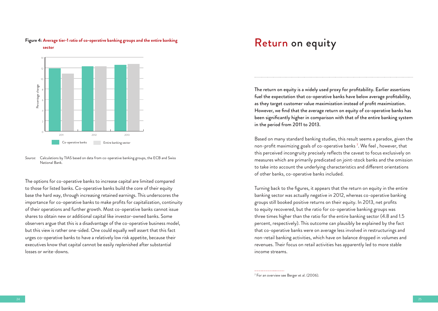#### **Figure 4: Average tier-1 ratio of co-operative banking groups and the entire banking**



**sector**

*Source:* Calculations by TIAS based on data from co-operative banking groups, the ECB and Swiss National Bank.

The options for co-operative banks to increase capital are limited compared to those for listed banks. Co-operative banks build the core of their equity base the hard way, through increasing retained earnings. This underscores the importance for co-operative banks to make profits for capitalization, continuity of their operations and further growth. Most co-operative banks cannot issue shares to obtain new or additional capital like investor-owned banks. Some observers argue that this is a disadvantage of the co-operative business model, but this view is rather one-sided. One could equally well assert that this fact urges co-operative banks to have a relatively low risk appetite, because their executives know that capital cannot be easily replenished after substantial losses or write-downs.

### Return on equity

The return on equity is a widely used proxy for profitability. Earlier assertions fuel the expectation that co-operative banks have below average profitability, as they target customer value maximization instead of profit maximization. However, we find that the average return on equity of co-operative banks has been significantly higher in comparison with that of the entire banking system in the period from 2011 to 2013.

Based on many standard banking studies, this result seems a paradox, given the non-profit maximizing goals of co-operative banks 7 . We feel , however, that this perceived incongruity precisely reflects the caveat to focus exclusively on measures which are primarily predicated on joint-stock banks and the omission to take into account the underlying characteristics and different orientations of other banks, co-operative banks included.

Turning back to the figures, it appears that the return on equity in the entire banking sector was actually negative in 2012, whereas co-operative banking groups still booked positive returns on their equity. In 2013, net profits to equity recovered, but the ratio for co-operative banking groups was three times higher than the ratio for the entire banking sector (4.8 and 1.5 percent, respectively). This outcome can plausibly be explained by the fact that co-operative banks were on average less involved in restructurings and non-retail banking activities, which have on balance dropped in volumes and revenues. Their focus on retail activities has apparently led to more stable income streams.

<sup>7</sup> For an overview see Berger et al. (2006).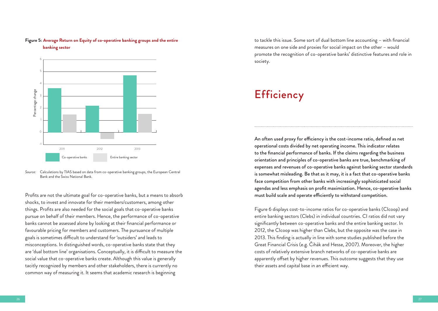

#### **Figure 5: Average Return on Equity of co-operative banking groups and the entire banking sector**

*Source:* Calculations by TIAS based on data from co-operative banking groups, the European Central Bank and the Swiss National Bank.

Profits are not the ultimate goal for co-operative banks, but a means to absorb shocks, to invest and innovate for their members/customers, among other things. Profits are also needed for the social goals that co-operative banks pursue on behalf of their members. Hence, the performance of co-operative banks cannot be assessed alone by looking at their financial performance or favourable pricing for members and customers. The pursuance of multiple goals is sometimes difficult to understand for 'outsiders' and leads to misconceptions. In distinguished words, co-operative banks state that they are 'dual bottom line' organisations. Conceptually, it is difficult to measure the social value that co-operative banks create. Although this value is generally tacitly recognized by members and other stakeholders, there is currently no common way of measuring it. It seems that academic research is beginning

to tackle this issue. Some sort of dual bottom line accounting – with financial measures on one side and proxies for social impact on the other – would promote the recognition of co-operative banks' distinctive features and role in society.

### **Efficiency**

An often used proxy for efficiency is the cost-income ratio, defined as net operational costs divided by net operating income. This indicator relates to the financial performance of banks. If the claims regarding the business orientation and principles of co-operative banks are true, benchmarking of expenses and revenues of co-operative banks against banking sector standards is somewhat misleading. Be that as it may, it is a fact that co-operative banks face competition from other banks with increasingly sophisticated social agendas and less emphasis on profit maximization. Hence, co-operative banks must build scale and operate efficiently to withstand competition.

Figure 6 displays cost-to-income ratios for co-operative banks (CIcoop) and entire banking sectors (Clebs) in individual countries. CI ratios did not vary significantly between co-operative banks and the entire banking sector. In 2012, the CIcoop was higher than Clebs, but the opposite was the case in 2013. This finding is actually in line with some studies published before the Great Financial Crisis (e.g. Čihák and Hesse, 2007). Moreover, the higher costs of relatively extensive branch networks of co-operative banks are apparently offset by higher revenues. This outcome suggests that they use their assets and capital base in an efficient way.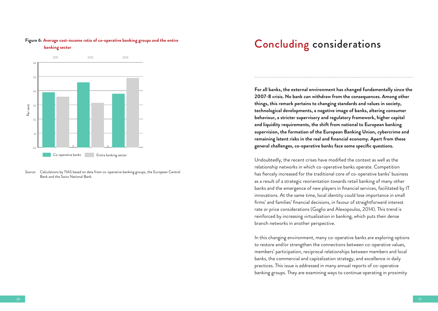#### **Figure 6: Average cost-income ratio of co-operative banking groups and the entire**





*Source:* Calculations by TIAS based on data from co-operative banking groups, the European Central Bank and the Swiss National Bank.

## Concluding considerations

**For all banks, the external environment has changed fundamentally since the 2007-8 crisis. No bank can withdraw from the consequences. Among other things, this remark pertains to changing standards and values in society, technological developments, a negative image of banks, altering consumer behaviour, a stricter supervisory and regulatory framework, higher capital and liquidity requirements, the shift from national to European banking supervision, the formation of the European Banking Union, cybercrime and remaining latent risks in the real and financial economy. Apart from these general challenges, co-operative banks face some specific questions.** 

Undoubtedly, the recent crises have modified the context as well as the relationship networks in which co-operative banks operate. Competition has fiercely increased for the traditional core of co-operative banks' business as a result of a strategic reorientation towards retail banking of many other banks and the emergence of new players in financial services, facilitated by IT innovations. At the same time, local identity could lose importance in small firms' and families' financial decisions, in favour of straightforward interest rate or price considerations (Goglio and Alexopoulos, 2014). This trend is reinforced by increasing virtualization in banking, which puts their dense branch networks in another perspective.

In this changing environment, many co-operative banks are exploring options to restore and/or strengthen the connections between co-operative values, members' participation, reciprocal relationships between members and local banks, the commercial and capitalization strategy, and excellence in daily practices. This issue is addressed in many annual reports of co-operative banking groups. They are examining ways to continue operating in proximity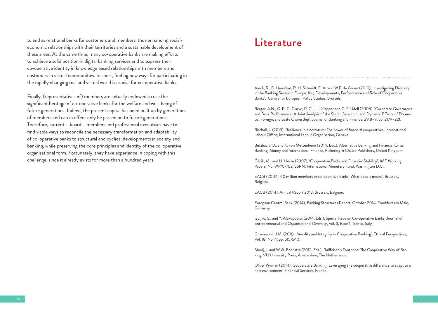to and as relational banks for customers and members, thus enhancing socialeconomic relationships with their territories and a sustainable development of these areas. At the same time, many co-operative banks are making efforts to achieve a solid position in digital banking services and to express their co-operative identity in knowledge based relationships with members and customers in virtual communities. In short, finding new ways for participating in the rapidly changing real and virtual world is crucial for co-operative banks.

Finally, (representatives of) members are actually endowed to use the significant heritage of co-operative banks for the welfare and well-being of future generations. Indeed, the present capital has been built up by generations of members and can in effect only be passed on to future generations. Therefore, current – board – members and professional executives have to find viable ways to reconcile the necessary transformation and adaptability of co-operative banks to structural and cyclical developments in society and banking, while preserving the core principles and identity of the co-operative organisational form. Fortunately, they have experience in coping with this challenge, since it already exists for more than a hundred years.

### Literature

Ayadi, R., D. Llewellyn, R. H. Schmidt, E. Arbak, W.P. de Groen (2010), 'Investigating Diversity in the Banking Sector in Europe: Key Developments, Performance and Role of Cooperative Banks', Centre for European Policy Studies, Brussels.

Berger, A.N., G. R. G. Clarke, R. Cull, L. Klapper and G. F. Udell (2006), 'Corporate Governance and Bank Performance: A Joint Analysis of the Static, Selection, and Dynamic Effects of Domestic, Foreign, and State Ownership', Journal of Banking and Finance, 29:8–9, pp. 2179–221.

Birchall, J. (2013), Resilience in a downturn: The power of financial cooperatives, International Labour Office, International Labour Organisation, Geneva.

Butzbach, O., and K. von Mettenheim (2014, Eds.), Alternative Banking and Financial Crisis, Banking, Money and International Finance, Pickering & Chatto Publishers, United Kingdom.

Čihák, M., and H. Hesse (2007), 'Cooperative Banks and Financial Stability', IMF Working Papers, No. WP/07/02, SSRN, International Monetary Fund, Washington D.C..

EACB (2007), 60 million members in co-operative banks: What does it mean?, Brussels, Belgium

EACB (2014), Annual Report 2013, Brussels, Belgium.

European Central Bank (2014), Banking Structures Report, October 2014, Frankfurt am Main, Germany.

Goglio, S., and Y. Alexopoulus (2014, Eds.), Special Issue on Co-operative Banks, Journal of Entrepreneurial and Organisational Diversity, Vol. 3, Issue 1, Trento, Italy.

Groeneveld, J.M. (2011), 'Morality and Integrity in Cooperative Banking', Ethical Perspectives, Vol. 18, No. 4, pp. 515-540.

Mooij, J. and W.W. Boonstra (2012, Eds.), Raiffeisen's Footprint: The Cooperative Way of Banking, VU University Press, Amsterdam, The Netherlands.

Oliver Wyman (2014), Cooperative Banking: Leveraging the cooperative difference to adapt to a new environment, Financial Services, France.